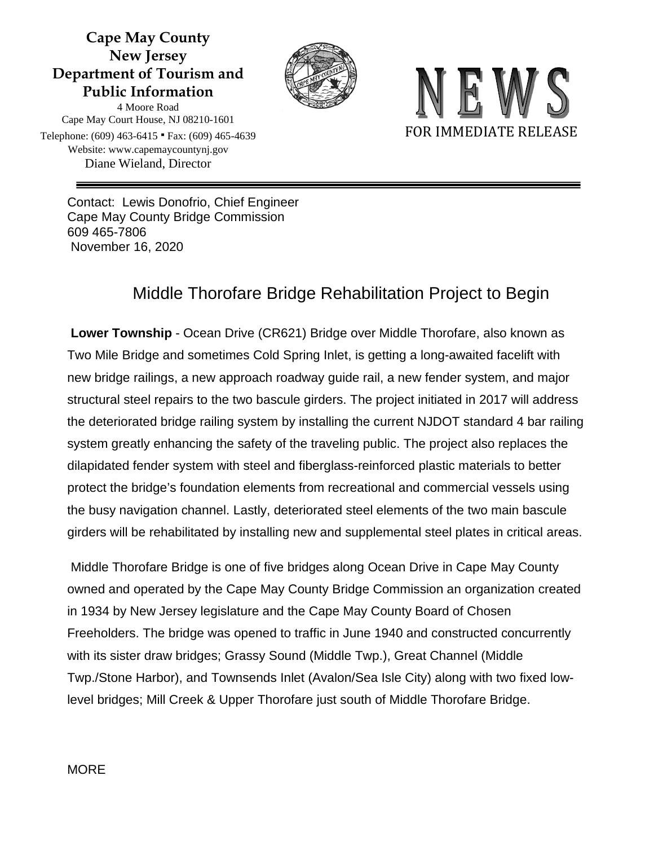## **Cape May County New Jersey Department of Tourism and Public Information**



4 Moore Road Cape May Court House, NJ 08210-1601 Telephone: (609) 463-6415 ∙ Fax: (609) 465-4639 Website: www.capemaycountynj.gov Diane Wieland, Director



Contact: Lewis Donofrio, Chief Engineer Cape May County Bridge Commission 609 465-7806 November 16, 2020

# Middle Thorofare Bridge Rehabilitation Project to Begin

**Lower Township** - Ocean Drive (CR621) Bridge over Middle Thorofare, also known as Two Mile Bridge and sometimes Cold Spring Inlet, is getting a long-awaited facelift with new bridge railings, a new approach roadway guide rail, a new fender system, and major structural steel repairs to the two bascule girders. The project initiated in 2017 will address the deteriorated bridge railing system by installing the current NJDOT standard 4 bar railing system greatly enhancing the safety of the traveling public. The project also replaces the dilapidated fender system with steel and fiberglass-reinforced plastic materials to better protect the bridge's foundation elements from recreational and commercial vessels using the busy navigation channel. Lastly, deteriorated steel elements of the two main bascule girders will be rehabilitated by installing new and supplemental steel plates in critical areas.

Middle Thorofare Bridge is one of five bridges along Ocean Drive in Cape May County owned and operated by the Cape May County Bridge Commission an organization created in 1934 by New Jersey legislature and the Cape May County Board of Chosen Freeholders. The bridge was opened to traffic in June 1940 and constructed concurrently with its sister draw bridges; Grassy Sound (Middle Twp.), Great Channel (Middle Twp./Stone Harbor), and Townsends Inlet (Avalon/Sea Isle City) along with two fixed lowlevel bridges; Mill Creek & Upper Thorofare just south of Middle Thorofare Bridge.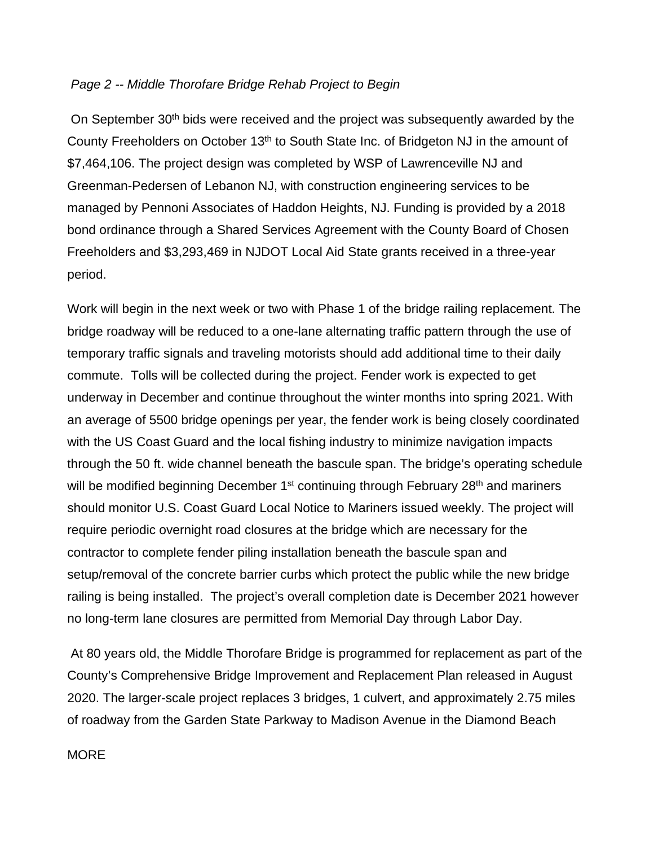#### *Page 2 -- Middle Thorofare Bridge Rehab Project to Begin*

On September 30<sup>th</sup> bids were received and the project was subsequently awarded by the County Freeholders on October 13<sup>th</sup> to South State Inc. of Bridgeton NJ in the amount of \$7,464,106. The project design was completed by WSP of Lawrenceville NJ and Greenman-Pedersen of Lebanon NJ, with construction engineering services to be managed by Pennoni Associates of Haddon Heights, NJ. Funding is provided by a 2018 bond ordinance through a Shared Services Agreement with the County Board of Chosen Freeholders and \$3,293,469 in NJDOT Local Aid State grants received in a three-year period.

Work will begin in the next week or two with Phase 1 of the bridge railing replacement. The bridge roadway will be reduced to a one-lane alternating traffic pattern through the use of temporary traffic signals and traveling motorists should add additional time to their daily commute. Tolls will be collected during the project. Fender work is expected to get underway in December and continue throughout the winter months into spring 2021. With an average of 5500 bridge openings per year, the fender work is being closely coordinated with the US Coast Guard and the local fishing industry to minimize navigation impacts through the 50 ft. wide channel beneath the bascule span. The bridge's operating schedule will be modified beginning December 1<sup>st</sup> continuing through February 28<sup>th</sup> and mariners should monitor U.S. Coast Guard Local Notice to Mariners issued weekly. The project will require periodic overnight road closures at the bridge which are necessary for the contractor to complete fender piling installation beneath the bascule span and setup/removal of the concrete barrier curbs which protect the public while the new bridge railing is being installed. The project's overall completion date is December 2021 however no long-term lane closures are permitted from Memorial Day through Labor Day.

At 80 years old, the Middle Thorofare Bridge is programmed for replacement as part of the County's Comprehensive Bridge Improvement and Replacement Plan released in August 2020. The larger-scale project replaces 3 bridges, 1 culvert, and approximately 2.75 miles of roadway from the Garden State Parkway to Madison Avenue in the Diamond Beach

#### **MORE**